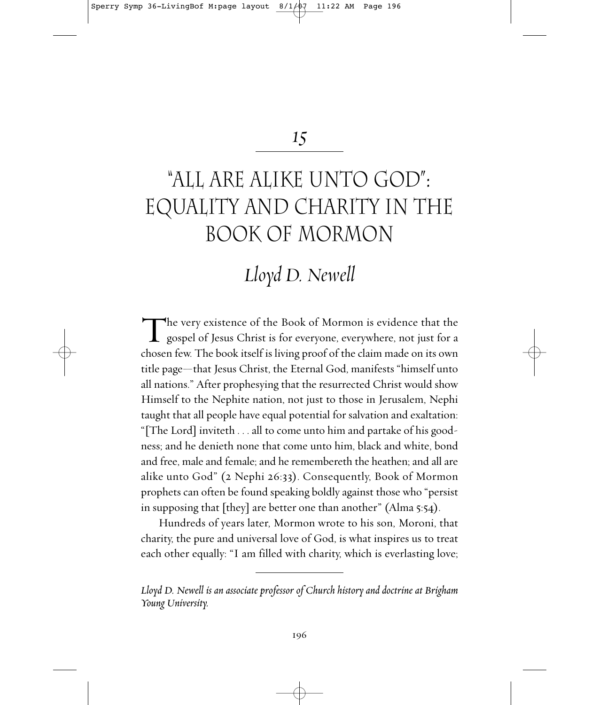Sperry Symp 36-LivingBof M:page layout  $8/1/\sqrt[4]{7}$  11:22 AM

*15*

# "ALL ARE ALIKE UNTO GOD": EQUALITY AND CHARITY IN THE BOOK OF MORMON

# *Lloyd D. Newell*

The very existence of the Book of Mormon is evidence that the  $\blacksquare$  gospel of Jesus Christ is for everyone, everywhere, not just for a chosen few. The book itself is living proof of the claim made on its own title page— that Jesus Christ, the Eternal God, manifests "himself unto all nations." After prophesying that the resurrected Christ would show Himself to the Nephite nation, not just to those in Jerusalem, Nephi taught that all people have equal potential for salvation and exaltation: "[The Lord] inviteth . . . all to come unto him and partake of his goodness; and he denieth none that come unto him, black and white, bond and free, male and female; and he remembereth the heathen; and all are alike unto God" (2 Nephi 26:33). Consequently, Book of Mormon prophets can often be found speaking boldly against those who "persist in supposing that [they] are better one than another" (Alma 5:54).

Hundreds of years later, Mormon wrote to his son, Moroni, that charity, the pure and universal love of God, is what inspires us to treat each other equally: "I am filled with charity, which is everlasting love;

*Lloyd D. Newell is an associate professor of Church history and doctrine at Brigham Young University.*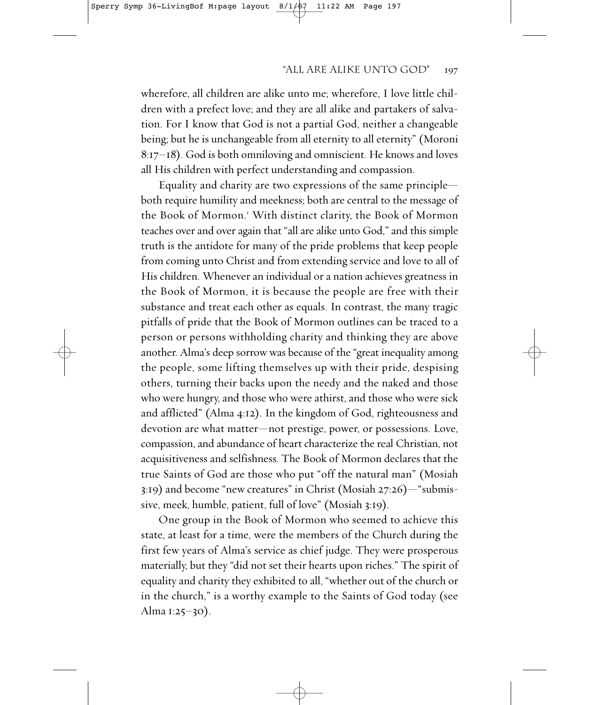wherefore, all children are alike unto me; wherefore, I love little children with a prefect love; and they are all alike and partakers of salvation. For I know that God is not a partial God, neither a changeable being; but he is unchangeable from all eternity to all eternity" (Moroni 8:17–18). God is both omniloving and omniscient. He knows and loves all His children with perfect understanding and compassion.

Equality and charity are two expressions of the same principle both require humility and meekness; both are central to the message of the Book of Mormon.<sup>1</sup> With distinct clarity, the Book of Mormon teaches over and over again that "all are alike unto God," and this simple truth is the antidote for many of the pride problems that keep people from coming unto Christ and from extending service and love to all of His children. Whenever an individual or a nation achieves greatness in the Book of Mormon, it is because the people are free with their substance and treat each other as equals. In contrast, the many tragic pitfalls of pride that the Book of Mormon outlines can be traced to a person or persons withholding charity and thinking they are above another. Alma's deep sorrow was because of the "great inequality among the people, some lifting themselves up with their pride, despising others, turning their backs upon the needy and the naked and those who were hungry, and those who were athirst, and those who were sick and afflicted" (Alma 4:12). In the kingdom of God, righteousness and devotion are what matter— not prestige, power, or possessions. Love, compassion, and abundance of heart characterize the real Christian, not acquisitiveness and selfishness. The Book of Mormon declares that the true Saints of God are those who put "off the natural man" (Mosiah 3:19) and become "new creatures" in Christ (Mosiah 27:26)—"submissive, meek, humble, patient, full of love" (Mosiah 3:19).

One group in the Book of Mormon who seemed to achieve this state, at least for a time, were the members of the Church during the first few years of Alma's service as chief judge. They were prosperous materially, but they "did not set their hearts upon riches." The spirit of equality and charity they exhibited to all, "whether out of the church or in the church," is a worthy example to the Saints of God today (see Alma 1:25–30).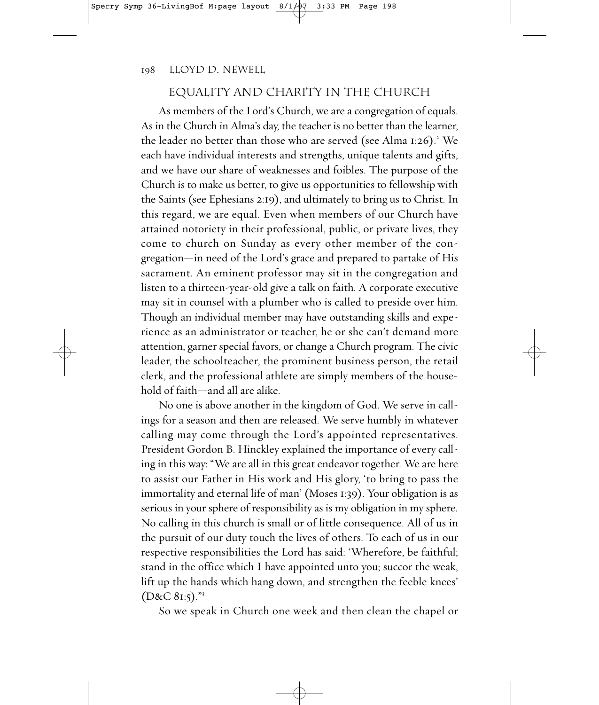# Equality and Charity in the Church

As members of the Lord's Church, we are a congregation of equals. As in the Church in Alma's day, the teacher is no better than the learner, the leader no better than those who are served (see Alma  $1:26$ ).<sup>2</sup> We each have individual interests and strengths, unique talents and gifts, and we have our share of weaknesses and foibles. The purpose of the Church is to make us better, to give us opportunities to fellowship with the Saints (see Ephesians 2:19), and ultimately to bring us to Christ. In this regard, we are equal. Even when members of our Church have attained notoriety in their professional, public, or private lives, they come to church on Sunday as every other member of the congregation— in need of the Lord's grace and prepared to partake of His sacrament. An eminent professor may sit in the congregation and listen to a thirteen- year- old give a talk on faith. A corporate executive may sit in counsel with a plumber who is called to preside over him. Though an individual member may have outstanding skills and experience as an administrator or teacher, he or she can't demand more attention, garner special favors, or change a Church program. The civic leader, the schoolteacher, the prominent business person, the retail clerk, and the professional athlete are simply members of the household of faith— and all are alike.

No one is above another in the kingdom of God. We serve in callings for a season and then are released. We serve humbly in whatever calling may come through the Lord's appointed representatives. President Gordon B. Hinckley explained the importance of every calling in this way: "We are all in this great endeavor together. We are here to assist our Father in His work and His glory, 'to bring to pass the immortality and eternal life of man' (Moses 1:39). Your obligation is as serious in your sphere of responsibility as is my obligation in my sphere. No calling in this church is small or of little consequence. All of us in the pursuit of our duty touch the lives of others. To each of us in our respective responsibilities the Lord has said: 'Wherefore, be faithful; stand in the office which I have appointed unto you; succor the weak, lift up the hands which hang down, and strengthen the feeble knees'  $(D&C 8I:5).$ "

So we speak in Church one week and then clean the chapel or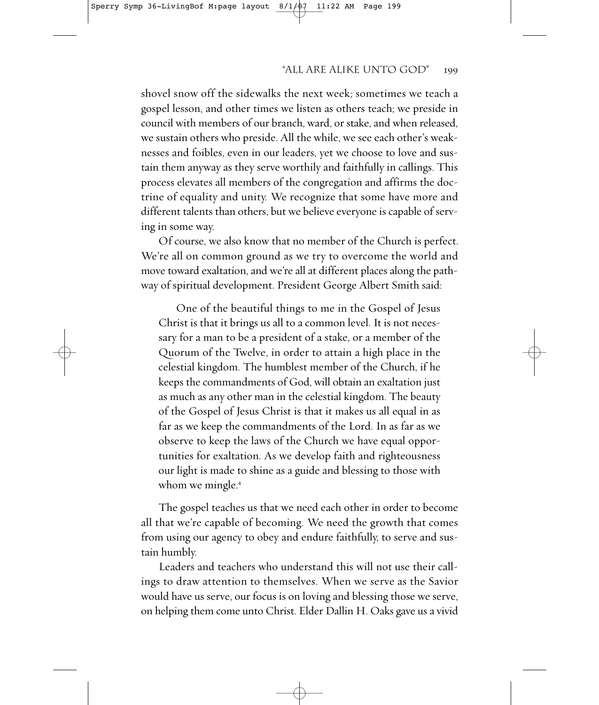shovel snow off the sidewalks the next week; sometimes we teach a gospel lesson, and other times we listen as others teach; we preside in council with members of our branch, ward, or stake, and when released, we sustain others who preside. All the while, we see each other's weaknesses and foibles, even in our leaders, yet we choose to love and sustain them anyway as they serve worthily and faithfully in callings. This process elevates all members of the congregation and affirms the doctrine of equality and unity. We recognize that some have more and different talents than others, but we believe everyone is capable of serving in some way.

Of course, we also know that no member of the Church is perfect. We're all on common ground as we try to overcome the world and move toward exaltation, and we're all at different places along the pathway of spiritual development. President George Albert Smith said:

One of the beautiful things to me in the Gospel of Jesus Christ is that it brings us all to a common level. It is not necessary for a man to be a president of a stake, or a member of the Quorum of the Twelve, in order to attain a high place in the celestial kingdom. The humblest member of the Church, if he keeps the commandments of God, will obtain an exaltation just as much as any other man in the celestial kingdom. The beauty of the Gospel of Jesus Christ is that it makes us all equal in as far as we keep the commandments of the Lord. In as far as we observe to keep the laws of the Church we have equal opportunities for exaltation. As we develop faith and righteousness our light is made to shine as a guide and blessing to those with whom we mingle.<sup>4</sup>

The gospel teaches us that we need each other in order to become all that we're capable of becoming. We need the growth that comes from using our agency to obey and endure faithfully, to serve and sustain humbly.

Leaders and teachers who understand this will not use their callings to draw attention to themselves. When we serve as the Savior would have us serve, our focus is on loving and blessing those we serve, on helping them come unto Christ. Elder Dallin H. Oaks gave us a vivid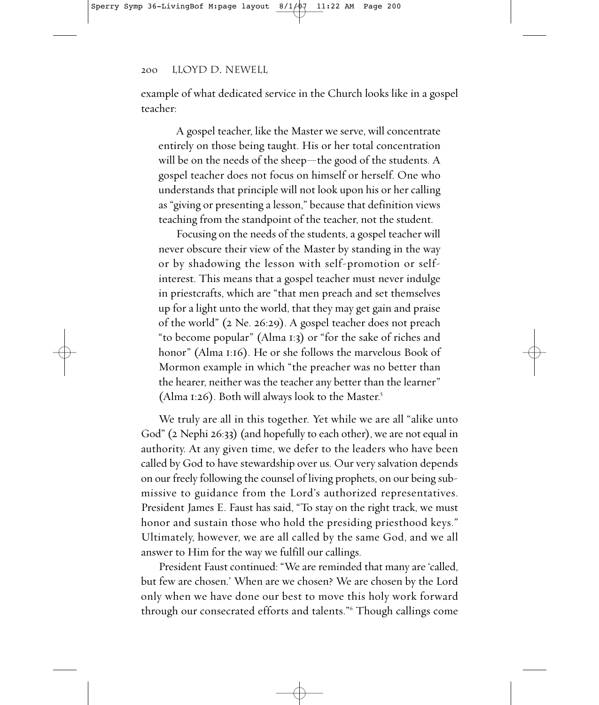example of what dedicated service in the Church looks like in a gospel teacher:

A gospel teacher, like the Master we serve, will concentrate entirely on those being taught. His or her total concentration will be on the needs of the sheep— the good of the students. A gospel teacher does not focus on himself or herself. One who understands that principle will not look upon his or her calling as "giving or presenting a lesson," because that definition views teaching from the standpoint of the teacher, not the student.

Focusing on the needs of the students, a gospel teacher will never obscure their view of the Master by standing in the way or by shadowing the lesson with self- promotion or self interest. This means that a gospel teacher must never indulge in priestcrafts, which are "that men preach and set themselves up for a light unto the world, that they may get gain and praise of the world" (2 Ne. 26:29). A gospel teacher does not preach "to become popular" (Alma 1:3) or "for the sake of riches and honor" (Alma 1:16). He or she follows the marvelous Book of Mormon example in which "the preacher was no better than the hearer, neither was the teacher any better than the learner" (Alma 1:26). Both will always look to the Master.5

We truly are all in this together. Yet while we are all "alike unto God" (2 Nephi 26:33) (and hopefully to each other), we are not equal in authority. At any given time, we defer to the leaders who have been called by God to have stewardship over us. Our very salvation depends on our freely following the counsel of living prophets, on our being submissive to guidance from the Lord's authorized representatives. President James E. Faust has said, "To stay on the right track, we must honor and sustain those who hold the presiding priesthood keys." Ultimately, however, we are all called by the same God, and we all answer to Him for the way we fulfill our callings.

President Faust continued: "We are reminded that many are 'called, but few are chosen.' When are we chosen? We are chosen by the Lord only when we have done our best to move this holy work forward through our consecrated efforts and talents."6 Though callings come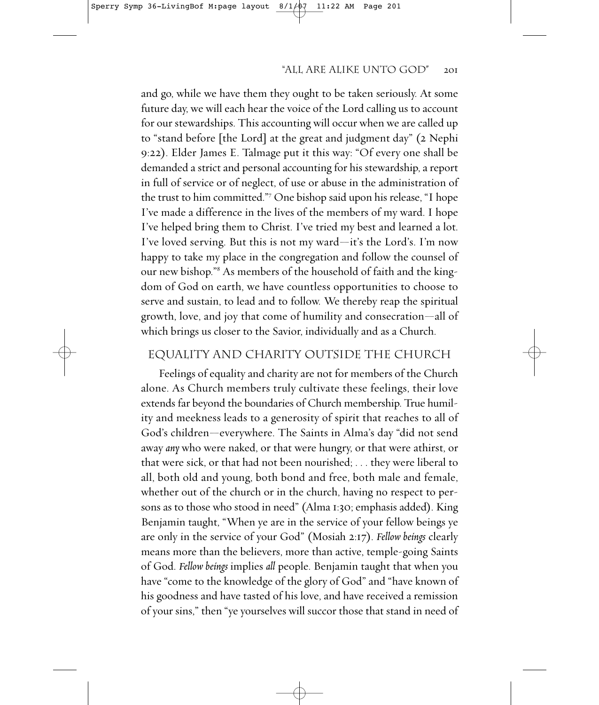and go, while we have them they ought to be taken seriously. At some future day, we will each hear the voice of the Lord calling us to account for our stewardships. This accounting will occur when we are called up to "stand before [the Lord] at the great and judgment day" (2 Nephi 9:22). Elder James E. Talmage put it this way: "Of every one shall be demanded a strict and personal accounting for his stewardship, a report in full of service or of neglect, of use or abuse in the administration of the trust to him committed."7 One bishop said upon his release, "I hope I've made a difference in the lives of the members of my ward. I hope I've helped bring them to Christ. I've tried my best and learned a lot. I've loved serving. But this is not my ward— it's the Lord's. I'm now happy to take my place in the congregation and follow the counsel of our new bishop."8 As members of the household of faith and the kingdom of God on earth, we have countless opportunities to choose to serve and sustain, to lead and to follow. We thereby reap the spiritual growth, love, and joy that come of humility and consecration— all of which brings us closer to the Savior, individually and as a Church.

## Equality and Charity outside the Church

Feelings of equality and charity are not for members of the Church alone. As Church members truly cultivate these feelings, their love extends far beyond the boundaries of Church membership. True humility and meekness leads to a generosity of spirit that reaches to all of God's children— everywhere. The Saints in Alma's day "did not send away *any* who were naked, or that were hungry, or that were athirst, or that were sick, or that had not been nourished; . . . they were liberal to all, both old and young, both bond and free, both male and female, whether out of the church or in the church, having no respect to persons as to those who stood in need" (Alma 1:30; emphasis added). King Benjamin taught, "When ye are in the service of your fellow beings ye are only in the service of your God" (Mosiah 2:17). *Fellow beings* clearly means more than the believers, more than active, temple-going Saints of God. *Fellow beings* implies *all* people. Benjamin taught that when you have "come to the knowledge of the glory of God" and "have known of his goodness and have tasted of his love, and have received a remission of your sins," then "ye yourselves will succor those that stand in need of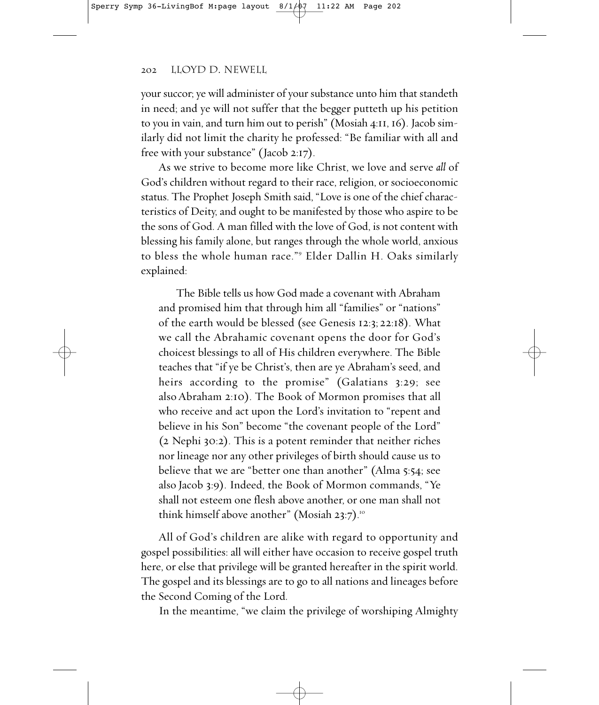your succor; ye will administer of your substance unto him that standeth in need; and ye will not suffer that the begger putteth up his petition to you in vain, and turn him out to perish" (Mosiah 4:11, 16). Jacob similarly did not limit the charity he professed: "Be familiar with all and free with your substance" (Jacob 2:17).

As we strive to become more like Christ, we love and serve *all* of God's children without regard to their race, religion, or socioeconomic status. The Prophet Joseph Smith said, "Love is one of the chief characteristics of Deity, and ought to be manifested by those who aspire to be the sons of God. A man filled with the love of God, is not content with blessing his family alone, but ranges through the whole world, anxious to bless the whole human race."9 Elder Dallin H. Oaks similarly explained:

The Bible tells us how God made a covenant with Abraham and promised him that through him all "families" or "nations" of the earth would be blessed (see Genesis 12:3; 22:18). What we call the Abrahamic covenant opens the door for God's choicest blessings to all of His children everywhere. The Bible teaches that "if ye be Christ's, then are ye Abraham's seed, and heirs according to the promise" (Galatians 3:29; see also Abraham 2:10). The Book of Mormon promises that all who receive and act upon the Lord's invitation to "repent and believe in his Son" become "the covenant people of the Lord" (2 Nephi 30:2). This is a potent reminder that neither riches nor lineage nor any other privileges of birth should cause us to believe that we are "better one than another" (Alma 5:54; see also Jacob 3:9). Indeed, the Book of Mormon commands, "Ye shall not esteem one flesh above another, or one man shall not think himself above another" (Mosiah 23:7). 10

All of God's children are alike with regard to opportunity and gospel possibilities: all will either have occasion to receive gospel truth here, or else that privilege will be granted hereafter in the spirit world. The gospel and its blessings are to go to all nations and lineages before the Second Coming of the Lord.

In the meantime, "we claim the privilege of worshiping Almighty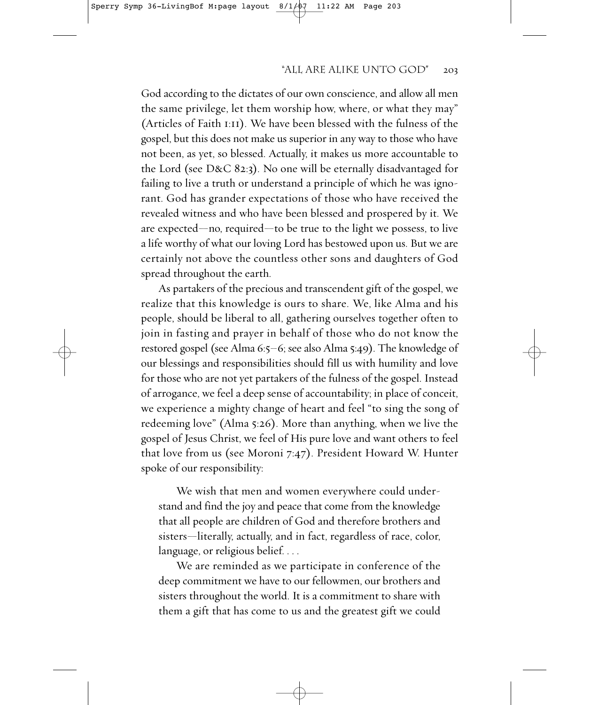God according to the dictates of our own conscience, and allow all men the same privilege, let them worship how, where, or what they may" (Articles of Faith 1:11). We have been blessed with the fulness of the gospel, but this does not make us superior in any way to those who have not been, as yet, so blessed. Actually, it makes us more accountable to the Lord (see D&C 82:3). No one will be eternally disadvantaged for failing to live a truth or understand a principle of which he was ignorant. God has grander expectations of those who have received the revealed witness and who have been blessed and prospered by it. We are expected— no, required— to be true to the light we possess, to live a life worthy of what our loving Lord has bestowed upon us. But we are certainly not above the countless other sons and daughters of God spread throughout the earth.

As partakers of the precious and transcendent gift of the gospel, we realize that this knowledge is ours to share. We, like Alma and his people, should be liberal to all, gathering ourselves together often to join in fasting and prayer in behalf of those who do not know the restored gospel (see Alma 6:5–6; see also Alma 5:49). The knowledge of our blessings and responsibilities should fill us with humility and love for those who are not yet partakers of the fulness of the gospel. Instead of arrogance, we feel a deep sense of accountability; in place of conceit, we experience a mighty change of heart and feel "to sing the song of redeeming love" (Alma 5:26). More than anything, when we live the gospel of Jesus Christ, we feel of His pure love and want others to feel that love from us (see Moroni 7:47). President Howard W. Hunter spoke of our responsibility:

We wish that men and women everywhere could understand and find the joy and peace that come from the knowledge that all people are children of God and therefore brothers and sisters— literally, actually, and in fact, regardless of race, color, language, or religious belief. . . .

We are reminded as we participate in conference of the deep commitment we have to our fellowmen, our brothers and sisters throughout the world. It is a commitment to share with them a gift that has come to us and the greatest gift we could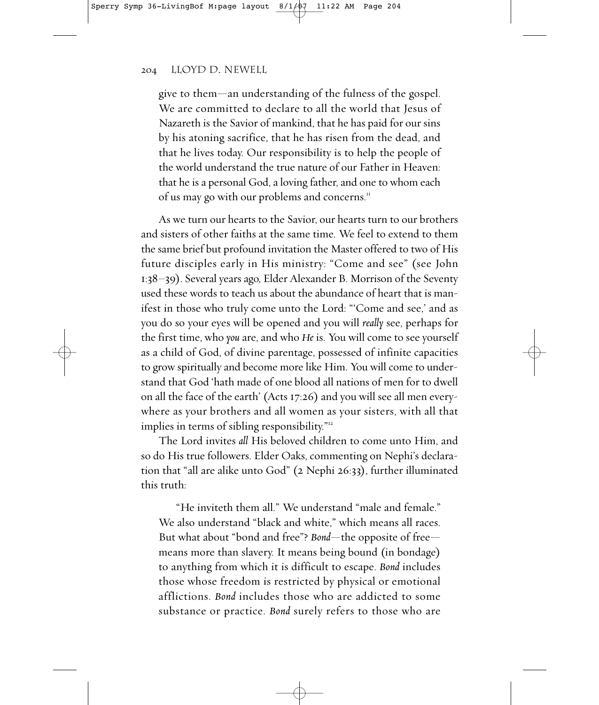Sperry Symp 36-LivingBof M:page layout  $8/1/67$  11:22 AM Page 204

#### 204 Lloyd D. Newell

give to them— an understanding of the fulness of the gospel. We are committed to declare to all the world that Jesus of Nazareth is the Savior of mankind, that he has paid for our sins by his atoning sacrifice, that he has risen from the dead, and that he lives today. Our responsibility is to help the people of the world understand the true nature of our Father in Heaven: that he is a personal God, a loving father, and one to whom each of us may go with our problems and concerns.<sup>11</sup>

As we turn our hearts to the Savior, our hearts turn to our brothers and sisters of other faiths at the same time. We feel to extend to them the same brief but profound invitation the Master offered to two of His future disciples early in His ministry: "Come and see" (see John 1:38–39). Several years ago, Elder Alexander B. Morrison of the Seventy used these words to teach us about the abundance of heart that is manifest in those who truly come unto the Lord: "'Come and see,' and as you do so your eyes will be opened and you will *really* see, perhaps for the first time, who *you* are, and who *He* is. You will come to see yourself as a child of God, of divine parentage, possessed of infinite capacities to grow spiritually and become more like Him. You will come to understand that God 'hath made of one blood all nations of men for to dwell on all the face of the earth' (Acts 17:26) and you will see all men everywhere as your brothers and all women as your sisters, with all that implies in terms of sibling responsibility."<sup>12</sup>

The Lord invites *all* His beloved children to come unto Him, and so do His true followers. Elder Oaks, commenting on Nephi's declaration that "all are alike unto God" (2 Nephi 26:33), further illuminated this truth:

"He inviteth them all." We understand "male and female." We also understand "black and white," which means all races. But what about "bond and free"? *Bond*— the opposite of free means more than slavery. It means being bound (in bondage) to anything from which it is difficult to escape. *Bond* includes those whose freedom is restricted by physical or emotional afflictions. *Bond* includes those who are addicted to some substance or practice. *Bond* surely refers to those who are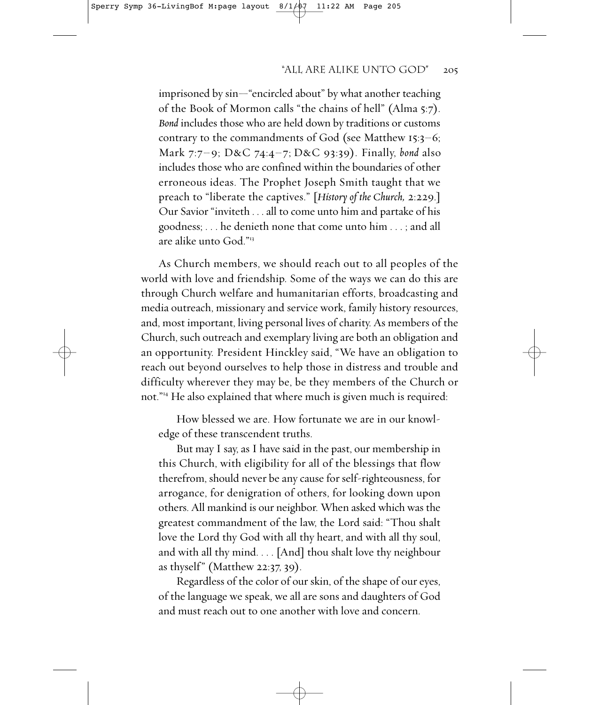#### "All are alike unto god" 205

imprisoned by sin—"encircled about" by what another teaching of the Book of Mormon calls "the chains of hell" (Alma 5:7). *Bond* includes those who are held down by traditions or customs contrary to the commandments of God (see Matthew 15:3–6; Mark 7:7–9; D&C 74:4–7; D&C 93:39). Finally, *bond* also includes those who are confined within the boundaries of other erroneous ideas. The Prophet Joseph Smith taught that we preach to "liberate the captives." [*History of the Church,* 2:229.] Our Savior "inviteth . . . all to come unto him and partake of his goodness; . . . he denieth none that come unto him . . . ; and all are alike unto God."<sup>3</sup>

As Church members, we should reach out to all peoples of the world with love and friendship. Some of the ways we can do this are through Church welfare and humanitarian efforts, broadcasting and media outreach, missionary and service work, family history resources, and, most important, living personal lives of charity. As members of the Church, such outreach and exemplary living are both an obligation and an opportunity. President Hinckley said, "We have an obligation to reach out beyond ourselves to help those in distress and trouble and difficulty wherever they may be, be they members of the Church or not."14 He also explained that where much is given much is required:

How blessed we are. How fortunate we are in our knowledge of these transcendent truths.

But may I say, as I have said in the past, our membership in this Church, with eligibility for all of the blessings that flow therefrom, should never be any cause for self- righteousness, for arrogance, for denigration of others, for looking down upon others. All mankind is our neighbor. When asked which was the greatest commandment of the law, the Lord said: "Thou shalt love the Lord thy God with all thy heart, and with all thy soul, and with all thy mind. . . . [And] thou shalt love thy neighbour as thyself" (Matthew 22:37, 39).

Regardless of the color of our skin, of the shape of our eyes, of the language we speak, we all are sons and daughters of God and must reach out to one another with love and concern.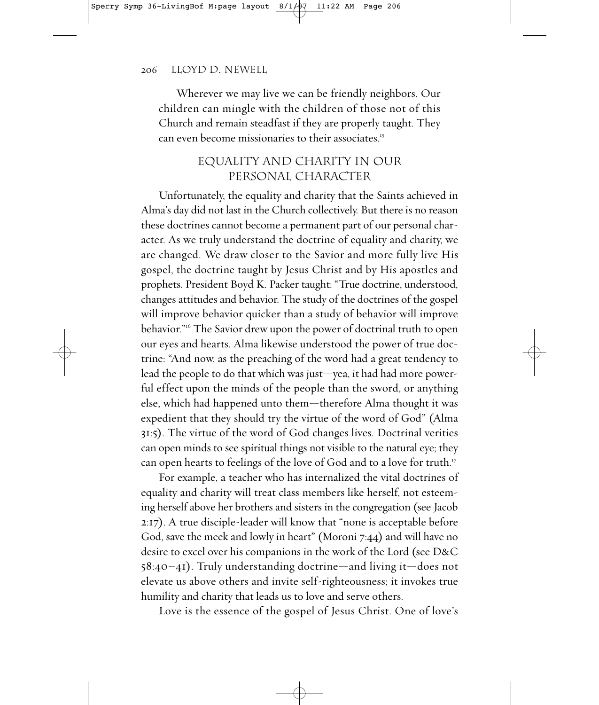Wherever we may live we can be friendly neighbors. Our children can mingle with the children of those not of this Church and remain steadfast if they are properly taught. They can even become missionaries to their associates.<sup>15</sup>

# Equality and Charity in Our Personal Character

Unfortunately, the equality and charity that the Saints achieved in Alma's day did not last in the Church collectively. But there is no reason these doctrines cannot become a permanent part of our personal character. As we truly understand the doctrine of equality and charity, we are changed. We draw closer to the Savior and more fully live His gospel, the doctrine taught by Jesus Christ and by His apostles and prophets. President Boyd K. Packer taught: "True doctrine, understood, changes attitudes and behavior. The study of the doctrines of the gospel will improve behavior quicker than a study of behavior will improve behavior."16 The Savior drew upon the power of doctrinal truth to open our eyes and hearts. Alma likewise understood the power of true doctrine: "And now, as the preaching of the word had a great tendency to lead the people to do that which was just— yea, it had had more powerful effect upon the minds of the people than the sword, or anything else, which had happened unto them— therefore Alma thought it was expedient that they should try the virtue of the word of God" (Alma 31:5). The virtue of the word of God changes lives. Doctrinal verities can open minds to see spiritual things not visible to the natural eye; they can open hearts to feelings of the love of God and to a love for truth.<sup>17</sup>

For example, a teacher who has internalized the vital doctrines of equality and charity will treat class members like herself, not esteeming herself above her brothers and sisters in the congregation (see Jacob 2:17). A true disciple- leader will know that "none is acceptable before God, save the meek and lowly in heart" (Moroni 7:44) and will have no desire to excel over his companions in the work of the Lord (see D&C  $58:40-41$ ). Truly understanding doctrine—and living it—does not elevate us above others and invite self- righteousness; it invokes true humility and charity that leads us to love and serve others.

Love is the essence of the gospel of Jesus Christ. One of love's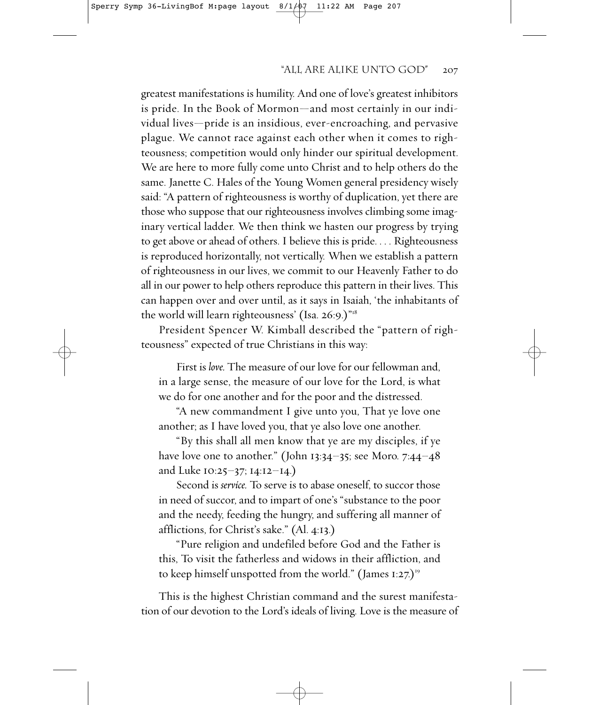#### "All are alike unto god" 207

greatest manifestations is humility. And one of love's greatest inhibitors is pride. In the Book of Mormon— and most certainly in our indi vidual lives— pride is an insidious, ever- encroaching, and pervasive plague. We cannot race against each other when it comes to righteousness; competition would only hinder our spiritual development. We are here to more fully come unto Christ and to help others do the same. Janette C. Hales of the Young Women general presidency wisely said: "A pattern of righteousness is worthy of duplication, yet there are those who suppose that our righteousness involves climbing some imaginary vertical ladder. We then think we hasten our progress by trying to get above or ahead of others. I believe this is pride. . . . Righteousness is reproduced horizontally, not vertically. When we establish a pattern of righteousness in our lives, we commit to our Heavenly Father to do all in our power to help others reproduce this pattern in their lives. This can happen over and over until, as it says in Isaiah, 'the inhabitants of the world will learn righteousness' (Isa. 26:9.)"<sup>18</sup>

President Spencer W. Kimball described the "pattern of righteousness" expected of true Christians in this way:

First is *love.* The measure of our love for our fellowman and, in a large sense, the measure of our love for the Lord, is what we do for one another and for the poor and the distressed.

"A new commandment I give unto you, That ye love one another; as I have loved you, that ye also love one another.

"By this shall all men know that ye are my disciples, if ye have love one to another." (John 13:34–35; see Moro. 7:44–48 and Luke 10:25–37; 14:12–14.)

Second is *service.* To serve is to abase oneself, to succor those in need of succor, and to impart of one's "substance to the poor and the needy, feeding the hungry, and suffering all manner of afflictions, for Christ's sake." (Al. 4:13.)

"Pure religion and undefiled before God and the Father is this, To visit the fatherless and widows in their affliction, and to keep himself unspotted from the world." (James 1:27.)<sup>19</sup>

This is the highest Christian command and the surest manifestation of our devotion to the Lord's ideals of living. Love is the measure of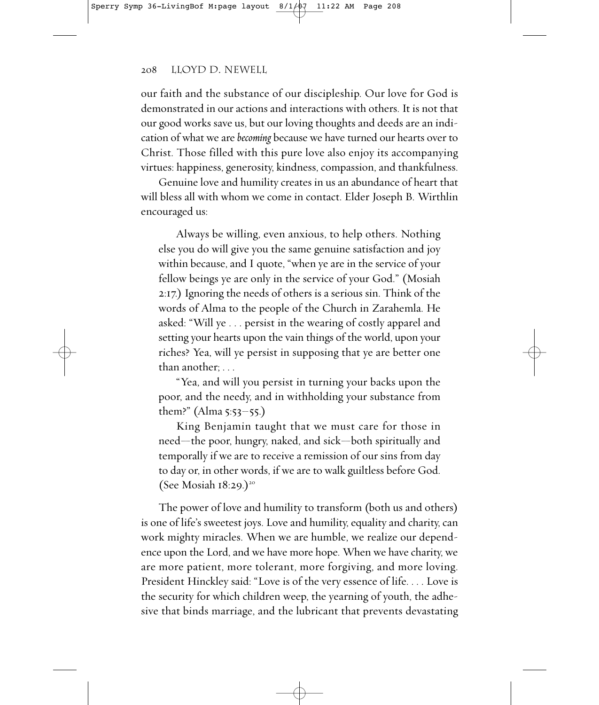our faith and the substance of our discipleship. Our love for God is demonstrated in our actions and interactions with others. It is not that our good works save us, but our loving thoughts and deeds are an indication of what we are *becoming* because we have turned our hearts over to Christ. Those filled with this pure love also enjoy its accompanying virtues: happiness, generosity, kindness, compassion, and thankfulness.

Genuine love and humility creates in us an abundance of heart that will bless all with whom we come in contact. Elder Joseph B. Wirthlin encouraged us:

Always be willing, even anxious, to help others. Nothing else you do will give you the same genuine satisfaction and joy within because, and I quote, "when ye are in the service of your fellow beings ye are only in the service of your God." (Mosiah 2:17.) Ignoring the needs of others is a serious sin. Think of the words of Alma to the people of the Church in Zarahemla. He asked: "Will ye . . . persist in the wearing of costly apparel and setting your hearts upon the vain things of the world, upon your riches? Yea, will ye persist in supposing that ye are better one than another; . . .

"Yea, and will you persist in turning your backs upon the poor, and the needy, and in withholding your substance from them?" (Alma 5:53–55.)

King Benjamin taught that we must care for those in need— the poor, hungry, naked, and sick— both spiritually and temporally if we are to receive a remission of our sins from day to day or, in other words, if we are to walk guiltless before God. (See Mosiah  $18:29.$ )<sup>20</sup>

The power of love and humility to transform (both us and others) is one of life's sweetest joys. Love and humility, equality and charity, can work mighty miracles. When we are humble, we realize our dependence upon the Lord, and we have more hope. When we have charity, we are more patient, more tolerant, more forgiving, and more loving. President Hinckley said: "Love is of the very essence of life. . . . Love is the security for which children weep, the yearning of youth, the adhesive that binds marriage, and the lubricant that prevents devastating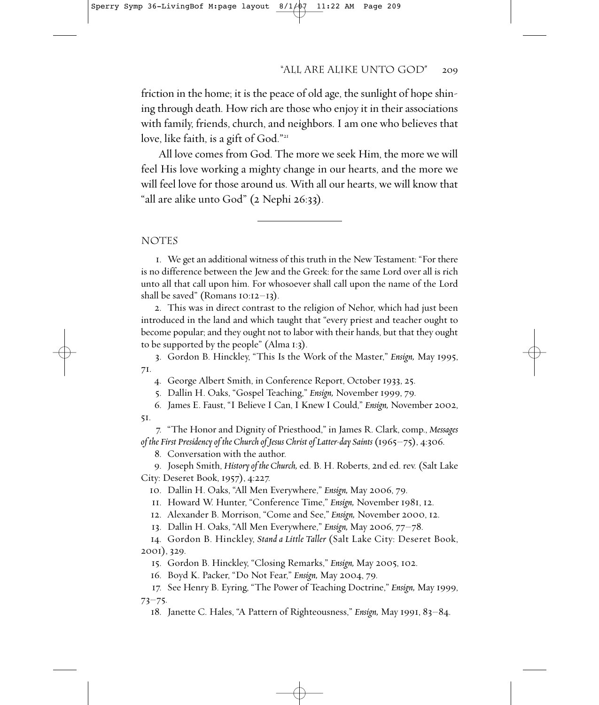#### "All are alike unto god" 209

friction in the home; it is the peace of old age, the sunlight of hope shining through death. How rich are those who enjoy it in their associations with family, friends, church, and neighbors. I am one who believes that love, like faith, is a gift of  $God."$ <sup>21</sup>

All love comes from God. The more we seek Him, the more we will feel His love working a mighty change in our hearts, and the more we will feel love for those around us. With all our hearts, we will know that "all are alike unto God" (2 Nephi 26:33).

#### NOTES

1. We get an additional witness of this truth in the New Testament: "For there is no difference between the Jew and the Greek: for the same Lord over all is rich unto all that call upon him. For whosoever shall call upon the name of the Lord shall be saved" (Romans  $10:12-13$ ).

2. This was in direct contrast to the religion of Nehor, which had just been introduced in the land and which taught that "every priest and teacher ought to become popular; and they ought not to labor with their hands, but that they ought to be supported by the people" (Alma 1:3).

3. Gordon B. Hinckley, "This Is the Work of the Master," *Ensign,* May 1995, 71.

4. George Albert Smith, in Conference Report, October 1933, 25.

5. Dallin H. Oaks, "Gospel Teaching," *Ensign,* November 1999, 79.

6. James E. Faust, "I Believe I Can, I Knew I Could," *Ensign,* November 2002, 51.

7. "The Honor and Dignity of Priesthood," in James R. Clark, comp., *Messages of the First Presidency of the Church of Jesus Christ of Latter- day Saints* (1965–75), 4:306.

8. Conversation with the author.

9. Joseph Smith, *History of the Church,* ed. B. H. Roberts, 2nd ed. rev. (Salt Lake City: Deseret Book, 1957), 4:227.

10. Dallin H. Oaks, "All Men Everywhere," *Ensign,* May 2006, 79.

11. Howard W. Hunter, "Conference Time," *Ensign,* November 1981, 12.

12. Alexander B. Morrison, "Come and See," *Ensign,* November 2000, 12.

13. Dallin H. Oaks, "All Men Everywhere," *Ensign,* May 2006, 77–78.

14. Gordon B. Hinckley, *Stand a Little Taller* (Salt Lake City: Deseret Book, 2001), 329.

15. Gordon B. Hinckley, "Closing Remarks," *Ensign,* May 2005, 102.

16. Boyd K. Packer, "Do Not Fear," *Ensign,* May 2004, 79.

17. See Henry B. Eyring, "The Power of Teaching Doctrine," *Ensign,* May 1999, 73–75.

18. Janette C. Hales, "A Pattern of Righteousness," *Ensign,* May 1991, 83–84.